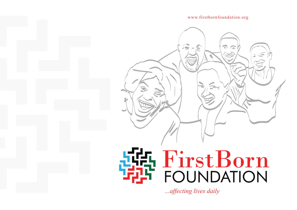www.firstbornfoundation.org

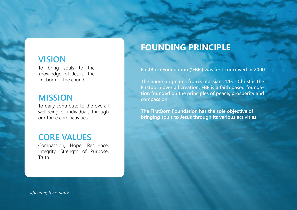### **VISION**

To bring souls to the knowledge of Jesus, the firstborn of the church

### **MISSION**

To daily contribute to the overall wellbeing of individuals through our three core activities

### **CORE VALUES**

Compassion, Hope, Resilience, Integrity, Strength of Purpose, **Truth** 

## **FOUNDING PRINCIPLE**

**FirstBorn Foundation ('FBF') was first conceived in 2000.** 

**The name originates from Colossians 1:15 - Christ is the Firstborn over all creation. FBF is a faith based foundation founded on the principles of peace, prosperity and compassion.** 

**The FirstBorn Foundation has the sole objective of bringing souls to Jesus through its various activities.**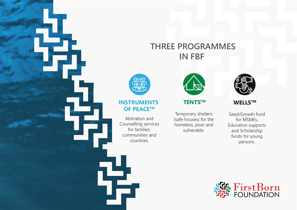## **THREE PROGRAMMES IN FBF**



#### **INSTRUMENTS OF PEACETM**

Abitration and Counselling services for families, communities and countries.

të.



Temporary shelters (safe houses) for the homeless, poor and vulnerable.



#### **TENTSTM WELLSTM**

Seed/Growth fund for MSMEs, Education supports and Scholarship funds for young persons.

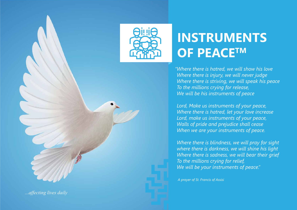

# **INSTRUMENTS OF PEACETM**

*"Where there is hatred, we will show his love Where there is injury, we will never judge Where there is striving, we will speak his peace To the millions crying for release, We will be his instruments of peace* 

*Lord, Make us instruments of your peace, Where there is hatred, let your love increase Lord, make us instruments of your peace, Walls of pride and prejudice shall cease When we are your instruments of peace.* 

*Where there is blindness, we will pray for sight where there is darkness, we will shine his light Where there is sadness, we will bear their grief To the millions crying for relief, We will be your instruments of peace."*

*A prayer of St. Francis of Assisi*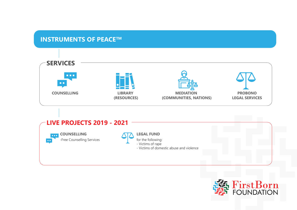#### **INSTRUMENTS OF PEACE™**





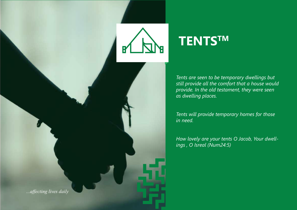

# **TENTSTM**

*Tents are seen to be temporary dwellings but still provide all the comfort that a house would provide. In the old testament, they were seen as dwelling places.* 

*Tents will provide temporary homes for those in need.* 

*How lovely are your tents O Jacob, Your dwellings , O Isreal (Num24:5)*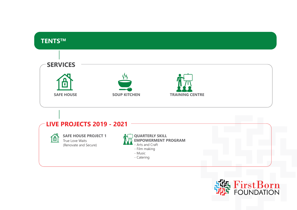

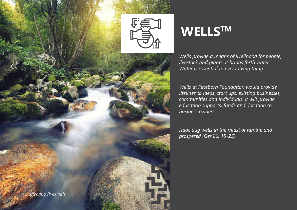

# **WELLSTM**

*Wells provide a means of livelihood for people, livestock and plants. It brings forth water. Water is essential to every living thing.* 

*Wells at FirstBorn Foundation would provide lifelines to ideas, start ups, existing businesses, communities and individuals. It will provide education supports, funds and location to business owners.*

*Isaac dug wells in the midst of famine and prospered (Gen26: 15-25)*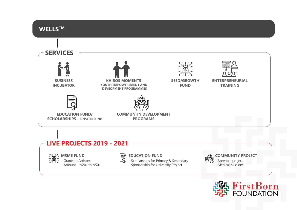

FirstBorn<br>FOUNDATION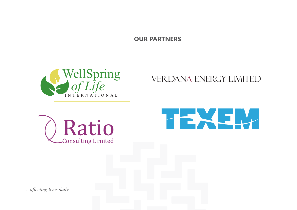**OUR PARTNERS**







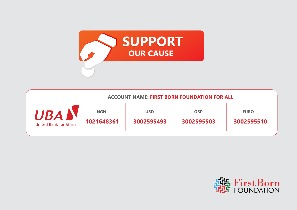